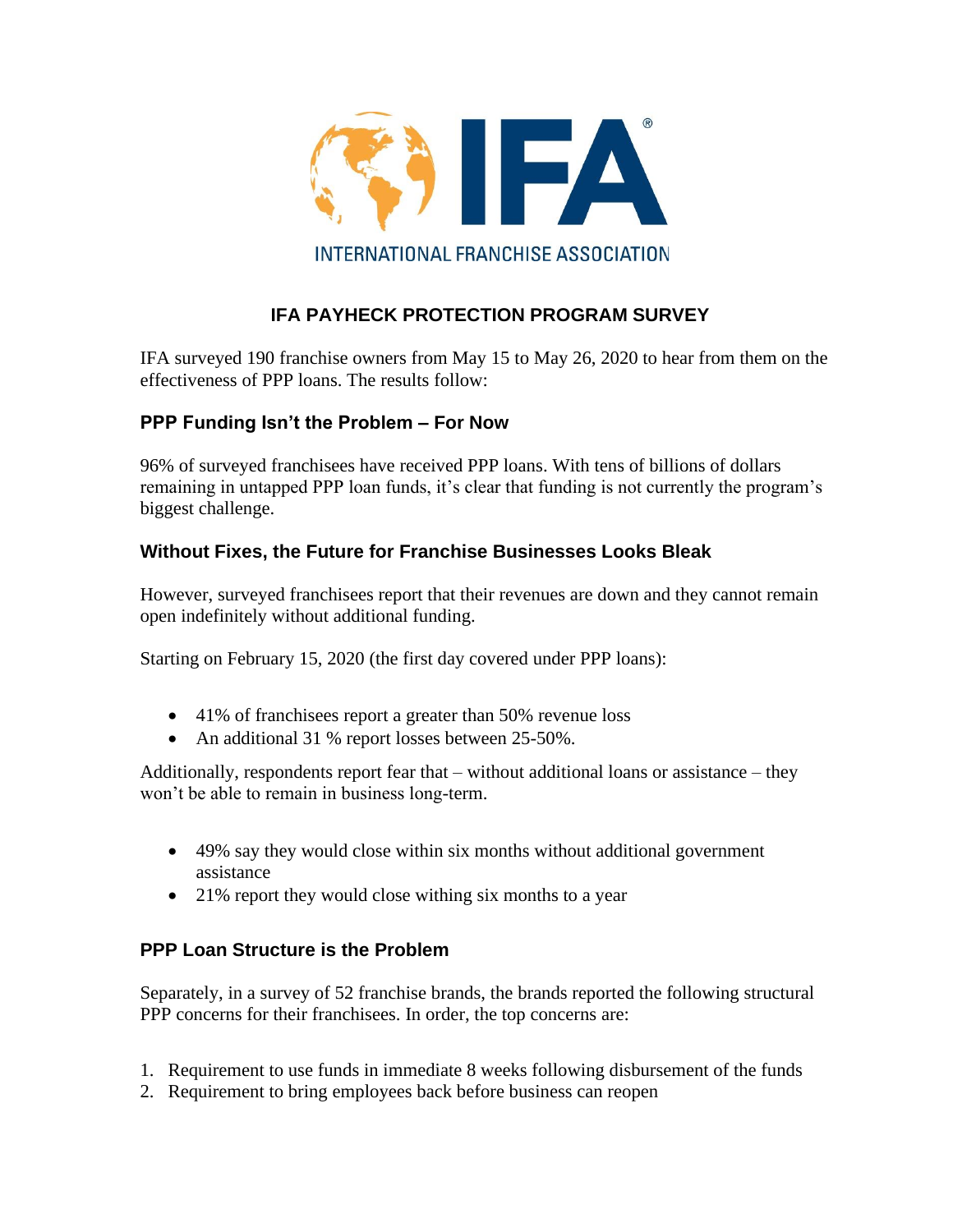

## **IFA PAYHECK PROTECTION PROGRAM SURVEY**

IFA surveyed 190 franchise owners from May 15 to May 26, 2020 to hear from them on the effectiveness of PPP loans. The results follow:

## **PPP Funding Isn't the Problem – For Now**

96% of surveyed franchisees have received PPP loans. With tens of billions of dollars remaining in untapped PPP loan funds, it's clear that funding is not currently the program's biggest challenge.

## **Without Fixes, the Future for Franchise Businesses Looks Bleak**

However, surveyed franchisees report that their revenues are down and they cannot remain open indefinitely without additional funding.

Starting on February 15, 2020 (the first day covered under PPP loans):

- 41% of franchisees report a greater than 50% revenue loss
- An additional 31 % report losses between 25-50%.

Additionally, respondents report fear that – without additional loans or assistance – they won't be able to remain in business long-term.

- 49% say they would close within six months without additional government assistance
- 21% report they would close withing six months to a year

## **PPP Loan Structure is the Problem**

Separately, in a survey of 52 franchise brands, the brands reported the following structural PPP concerns for their franchisees. In order, the top concerns are:

- 1. Requirement to use funds in immediate 8 weeks following disbursement of the funds
- 2. Requirement to bring employees back before business can reopen